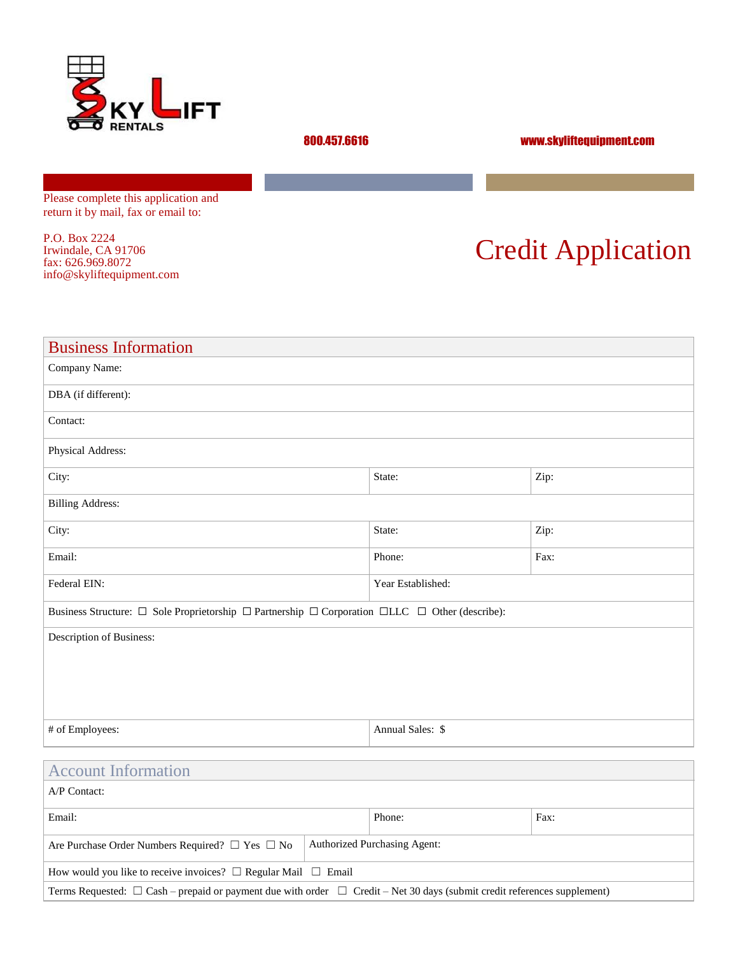

800.457.6616 www.skyliftequipment.com

Please complete this application and return it by mail, fax or email to:

P.O. Box 2224 Irwindale, CA 91706 fax: 626.969.8072 info@skyliftequipment.com

# Credit Application

| <b>Business Information</b>                                                                                              |                  |      |  |  |
|--------------------------------------------------------------------------------------------------------------------------|------------------|------|--|--|
| Company Name:                                                                                                            |                  |      |  |  |
| DBA (if different):                                                                                                      |                  |      |  |  |
| Contact:                                                                                                                 |                  |      |  |  |
| Physical Address:                                                                                                        |                  |      |  |  |
| City:                                                                                                                    | State:           | Zip: |  |  |
| <b>Billing Address:</b>                                                                                                  |                  |      |  |  |
| City:                                                                                                                    | State:           | Zip: |  |  |
| Email:                                                                                                                   | Phone:           | Fax: |  |  |
| Federal EIN:<br>Year Established:                                                                                        |                  |      |  |  |
| Business Structure: $\Box$ Sole Proprietorship $\Box$ Partnership $\Box$ Corporation $\Box$ LLC $\Box$ Other (describe): |                  |      |  |  |
| Description of Business:                                                                                                 |                  |      |  |  |
|                                                                                                                          |                  |      |  |  |
|                                                                                                                          |                  |      |  |  |
|                                                                                                                          |                  |      |  |  |
| # of Employees:                                                                                                          | Annual Sales: \$ |      |  |  |
|                                                                                                                          |                  |      |  |  |
| <b>Account Information</b>                                                                                               |                  |      |  |  |
| A/P Contact:                                                                                                             |                  |      |  |  |
| Email:                                                                                                                   | Phone:           | Fax: |  |  |

| Are Purchase Order Numbers Required? $\Box$ Yes $\Box$ No                                                                          | <b>Authorized Purchasing Agent:</b> |  |  |  |
|------------------------------------------------------------------------------------------------------------------------------------|-------------------------------------|--|--|--|
| How would you like to receive invoices? $\Box$ Regular Mail $\Box$ Email                                                           |                                     |  |  |  |
| Terms Requested: $\Box$ Cash – prepaid or payment due with order $\Box$ Credit – Net 30 days (submit credit references supplement) |                                     |  |  |  |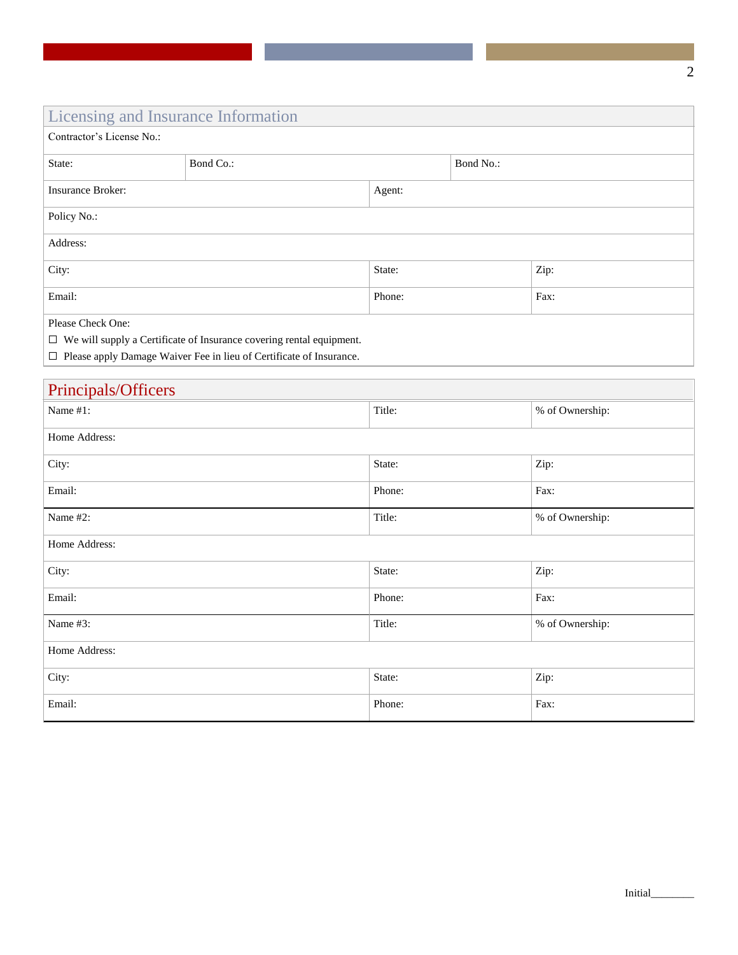## Licensing and Insurance Information

| Contractor's License No.:                                                   |           |        |           |      |
|-----------------------------------------------------------------------------|-----------|--------|-----------|------|
| State:                                                                      | Bond Co.: |        | Bond No.: |      |
| <b>Insurance Broker:</b>                                                    |           | Agent: |           |      |
| Policy No.:                                                                 |           |        |           |      |
| Address:                                                                    |           |        |           |      |
| City:                                                                       |           | State: |           | Zip: |
| Email:                                                                      |           | Phone: |           | Fax: |
| Please Check One:                                                           |           |        |           |      |
| $\Box$ We will supply a Certificate of Insurance covering rental equipment. |           |        |           |      |

☐ Please apply Damage Waiver Fee in lieu of Certificate of Insurance.

| Principals/Officers |        |                 |  |
|---------------------|--------|-----------------|--|
| Name #1:            | Title: | % of Ownership: |  |
| Home Address:       |        |                 |  |
| City:               | State: | Zip:            |  |
| Email:              | Phone: | Fax:            |  |
| Name #2:            | Title: | % of Ownership: |  |
| Home Address:       |        |                 |  |
| City:               | State: | Zip:            |  |
| Email:              | Phone: | Fax:            |  |
| Name #3:            | Title: | % of Ownership: |  |
| Home Address:       |        |                 |  |
| City:               | State: | Zip:            |  |
| Email:              | Phone: | Fax:            |  |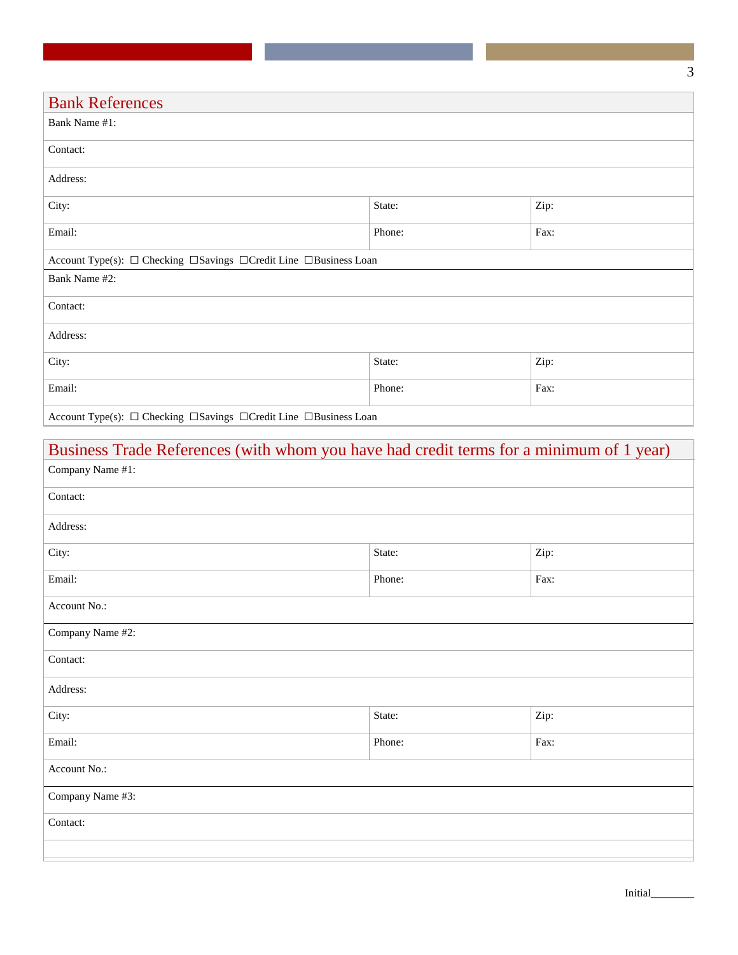| <b>Bank References</b>                                              |        |      |  |
|---------------------------------------------------------------------|--------|------|--|
| Bank Name #1:                                                       |        |      |  |
| Contact:                                                            |        |      |  |
| Address:                                                            |        |      |  |
| City:                                                               | State: | Zip: |  |
| Email:                                                              | Phone: | Fax: |  |
| Account Type(s): □ Checking □ Savings □ Credit Line □ Business Loan |        |      |  |
| Bank Name #2:                                                       |        |      |  |
| Contact:                                                            |        |      |  |
| Address:                                                            |        |      |  |
| City:                                                               | State: | Zip: |  |
| Email:                                                              | Phone: | Fax: |  |
| Account Type(s): □ Checking □ Savings □ Credit Line □ Business Loan |        |      |  |

| Business Trade References (with whom you have had credit terms for a minimum of 1 year) |                |      |  |  |  |
|-----------------------------------------------------------------------------------------|----------------|------|--|--|--|
| Company Name #1:                                                                        |                |      |  |  |  |
| Contact:                                                                                |                |      |  |  |  |
| Address:                                                                                |                |      |  |  |  |
| City:                                                                                   | State:<br>Zip: |      |  |  |  |
| Email:                                                                                  | Phone:         | Fax: |  |  |  |
| Account No.:                                                                            |                |      |  |  |  |
| Company Name #2:                                                                        |                |      |  |  |  |
| Contact:                                                                                |                |      |  |  |  |
| Address:                                                                                |                |      |  |  |  |
| City:<br>State:<br>Zip:                                                                 |                |      |  |  |  |
| Email:                                                                                  | Phone:         | Fax: |  |  |  |
| Account No.:                                                                            |                |      |  |  |  |
| Company Name #3:                                                                        |                |      |  |  |  |
| Contact:                                                                                |                |      |  |  |  |
|                                                                                         |                |      |  |  |  |

Initial\_\_\_\_\_\_\_\_

3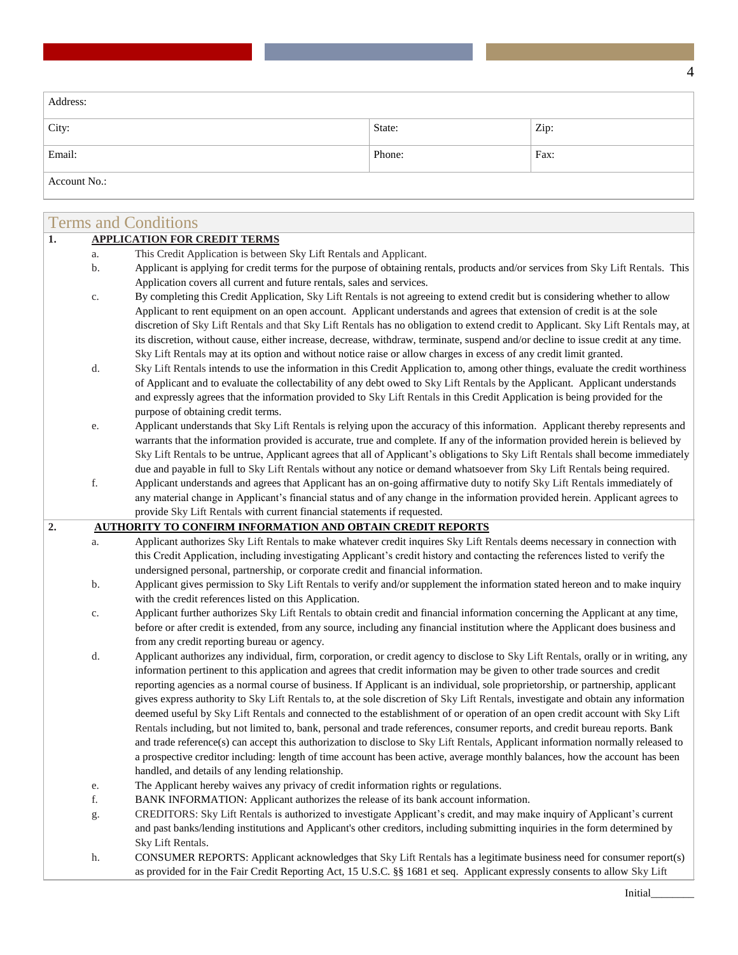| Address:     |        |      |
|--------------|--------|------|
| City:        | State: | Zip: |
| Email:       | Phone: | Fax: |
| Account No.: |        |      |

|    |               | <b>Terms and Conditions</b>                                                                                                                                                                                                                                        |
|----|---------------|--------------------------------------------------------------------------------------------------------------------------------------------------------------------------------------------------------------------------------------------------------------------|
| 1. |               | <b>APPLICATION FOR CREDIT TERMS</b>                                                                                                                                                                                                                                |
|    | a.            | This Credit Application is between Sky Lift Rentals and Applicant.                                                                                                                                                                                                 |
|    | b.            | Applicant is applying for credit terms for the purpose of obtaining rentals, products and/or services from Sky Lift Rentals. This                                                                                                                                  |
|    |               | Application covers all current and future rentals, sales and services.                                                                                                                                                                                             |
|    | $\mathbb{C}.$ | By completing this Credit Application, Sky Lift Rentals is not agreeing to extend credit but is considering whether to allow                                                                                                                                       |
|    |               | Applicant to rent equipment on an open account. Applicant understands and agrees that extension of credit is at the sole                                                                                                                                           |
|    |               | discretion of Sky Lift Rentals and that Sky Lift Rentals has no obligation to extend credit to Applicant. Sky Lift Rentals may, at                                                                                                                                 |
|    |               | its discretion, without cause, either increase, decrease, withdraw, terminate, suspend and/or decline to issue credit at any time.                                                                                                                                 |
|    |               | Sky Lift Rentals may at its option and without notice raise or allow charges in excess of any credit limit granted.                                                                                                                                                |
|    | d.            | Sky Lift Rentals intends to use the information in this Credit Application to, among other things, evaluate the credit worthiness                                                                                                                                  |
|    |               | of Applicant and to evaluate the collectability of any debt owed to Sky Lift Rentals by the Applicant. Applicant understands                                                                                                                                       |
|    |               | and expressly agrees that the information provided to Sky Lift Rentals in this Credit Application is being provided for the                                                                                                                                        |
|    |               | purpose of obtaining credit terms.                                                                                                                                                                                                                                 |
|    | e.            | Applicant understands that Sky Lift Rentals is relying upon the accuracy of this information. Applicant thereby represents and<br>warrants that the information provided is accurate, true and complete. If any of the information provided herein is believed by  |
|    |               | Sky Lift Rentals to be untrue, Applicant agrees that all of Applicant's obligations to Sky Lift Rentals shall become immediately                                                                                                                                   |
|    |               | due and payable in full to Sky Lift Rentals without any notice or demand whatsoever from Sky Lift Rentals being required.                                                                                                                                          |
|    | f.            | Applicant understands and agrees that Applicant has an on-going affirmative duty to notify Sky Lift Rentals immediately of                                                                                                                                         |
|    |               | any material change in Applicant's financial status and of any change in the information provided herein. Applicant agrees to                                                                                                                                      |
|    |               | provide Sky Lift Rentals with current financial statements if requested.                                                                                                                                                                                           |
| 2. |               | <b>AUTHORITY TO CONFIRM INFORMATION AND OBTAIN CREDIT REPORTS</b>                                                                                                                                                                                                  |
|    | a.            | Applicant authorizes Sky Lift Rentals to make whatever credit inquires Sky Lift Rentals deems necessary in connection with                                                                                                                                         |
|    |               | this Credit Application, including investigating Applicant's credit history and contacting the references listed to verify the                                                                                                                                     |
|    |               | undersigned personal, partnership, or corporate credit and financial information.                                                                                                                                                                                  |
|    | b.            | Applicant gives permission to Sky Lift Rentals to verify and/or supplement the information stated hereon and to make inquiry                                                                                                                                       |
|    |               | with the credit references listed on this Application.                                                                                                                                                                                                             |
| c. |               | Applicant further authorizes Sky Lift Rentals to obtain credit and financial information concerning the Applicant at any time,                                                                                                                                     |
|    |               | before or after credit is extended, from any source, including any financial institution where the Applicant does business and                                                                                                                                     |
|    |               | from any credit reporting bureau or agency.                                                                                                                                                                                                                        |
|    | d.            | Applicant authorizes any individual, firm, corporation, or credit agency to disclose to Sky Lift Rentals, orally or in writing, any<br>information pertinent to this application and agrees that credit information may be given to other trade sources and credit |
|    |               | reporting agencies as a normal course of business. If Applicant is an individual, sole proprietorship, or partnership, applicant                                                                                                                                   |
|    |               | gives express authority to Sky Lift Rentals to, at the sole discretion of Sky Lift Rentals, investigate and obtain any information                                                                                                                                 |
|    |               | deemed useful by Sky Lift Rentals and connected to the establishment of or operation of an open credit account with Sky Lift                                                                                                                                       |
|    |               | Rentals including, but not limited to, bank, personal and trade references, consumer reports, and credit bureau reports. Bank                                                                                                                                      |
|    |               | and trade reference(s) can accept this authorization to disclose to Sky Lift Rentals, Applicant information normally released to                                                                                                                                   |
|    |               | a prospective creditor including: length of time account has been active, average monthly balances, how the account has been                                                                                                                                       |
|    |               | handled, and details of any lending relationship.                                                                                                                                                                                                                  |
|    | e.            | The Applicant hereby waives any privacy of credit information rights or regulations.                                                                                                                                                                               |
|    | f.            | BANK INFORMATION: Applicant authorizes the release of its bank account information.                                                                                                                                                                                |
|    | g.            | CREDITORS: Sky Lift Rentals is authorized to investigate Applicant's credit, and may make inquiry of Applicant's current                                                                                                                                           |
|    |               | and past banks/lending institutions and Applicant's other creditors, including submitting inquiries in the form determined by                                                                                                                                      |
|    |               | Sky Lift Rentals.                                                                                                                                                                                                                                                  |
|    | h.            | CONSUMER REPORTS: Applicant acknowledges that Sky Lift Rentals has a legitimate business need for consumer report(s)                                                                                                                                               |
|    |               | as provided for in the Fair Credit Reporting Act, 15 U.S.C. §§ 1681 et seq. Applicant expressly consents to allow Sky Lift                                                                                                                                         |

4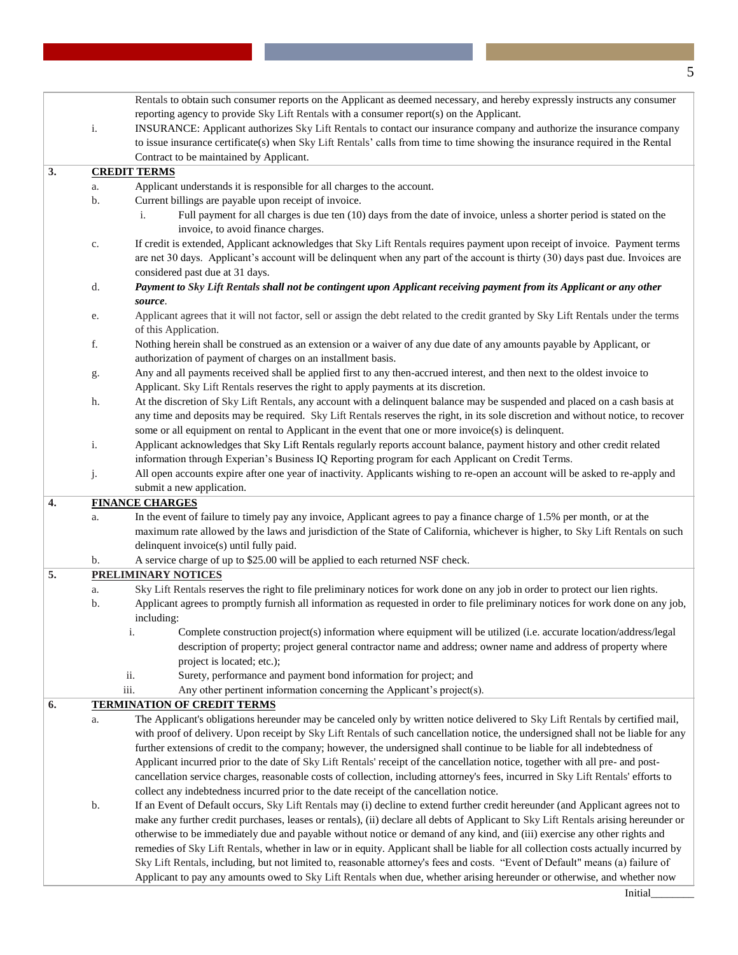|    |          | Rentals to obtain such consumer reports on the Applicant as deemed necessary, and hereby expressly instructs any consumer                                                                                                                                      |
|----|----------|----------------------------------------------------------------------------------------------------------------------------------------------------------------------------------------------------------------------------------------------------------------|
|    |          | reporting agency to provide Sky Lift Rentals with a consumer report(s) on the Applicant.                                                                                                                                                                       |
|    | i.       | INSURANCE: Applicant authorizes Sky Lift Rentals to contact our insurance company and authorize the insurance company                                                                                                                                          |
|    |          | to issue insurance certificate(s) when Sky Lift Rentals' calls from time to time showing the insurance required in the Rental                                                                                                                                  |
|    |          | Contract to be maintained by Applicant.                                                                                                                                                                                                                        |
| 3. |          | <b>CREDIT TERMS</b>                                                                                                                                                                                                                                            |
|    | a.       | Applicant understands it is responsible for all charges to the account.                                                                                                                                                                                        |
|    | b.       | Current billings are payable upon receipt of invoice.                                                                                                                                                                                                          |
|    |          | Full payment for all charges is due ten (10) days from the date of invoice, unless a shorter period is stated on the<br>i.<br>invoice, to avoid finance charges.                                                                                               |
|    | c.       | If credit is extended, Applicant acknowledges that Sky Lift Rentals requires payment upon receipt of invoice. Payment terms<br>are net 30 days. Applicant's account will be delinquent when any part of the account is thirty (30) days past due. Invoices are |
|    |          | considered past due at 31 days.                                                                                                                                                                                                                                |
|    | d.       | Payment to Sky Lift Rentals shall not be contingent upon Applicant receiving payment from its Applicant or any other                                                                                                                                           |
|    |          | source.                                                                                                                                                                                                                                                        |
|    | e.       | Applicant agrees that it will not factor, sell or assign the debt related to the credit granted by Sky Lift Rentals under the terms<br>of this Application.                                                                                                    |
|    | $\rm f.$ | Nothing herein shall be construed as an extension or a waiver of any due date of any amounts payable by Applicant, or                                                                                                                                          |
|    |          | authorization of payment of charges on an installment basis.                                                                                                                                                                                                   |
|    | g.       | Any and all payments received shall be applied first to any then-accrued interest, and then next to the oldest invoice to<br>Applicant. Sky Lift Rentals reserves the right to apply payments at its discretion.                                               |
|    | h.       | At the discretion of Sky Lift Rentals, any account with a delinquent balance may be suspended and placed on a cash basis at                                                                                                                                    |
|    |          | any time and deposits may be required. Sky Lift Rentals reserves the right, in its sole discretion and without notice, to recover                                                                                                                              |
|    |          | some or all equipment on rental to Applicant in the event that one or more invoice(s) is delinquent.                                                                                                                                                           |
|    | i.       | Applicant acknowledges that Sky Lift Rentals regularly reports account balance, payment history and other credit related                                                                                                                                       |
|    |          | information through Experian's Business IQ Reporting program for each Applicant on Credit Terms.                                                                                                                                                               |
|    | j.       | All open accounts expire after one year of inactivity. Applicants wishing to re-open an account will be asked to re-apply and                                                                                                                                  |
|    |          | submit a new application.                                                                                                                                                                                                                                      |
| 4. |          | <b>FINANCE CHARGES</b>                                                                                                                                                                                                                                         |
|    | a.       | In the event of failure to timely pay any invoice, Applicant agrees to pay a finance charge of 1.5% per month, or at the                                                                                                                                       |
|    |          | maximum rate allowed by the laws and jurisdiction of the State of California, whichever is higher, to Sky Lift Rentals on such                                                                                                                                 |
|    |          | delinquent invoice(s) until fully paid.                                                                                                                                                                                                                        |
|    | b.       | A service charge of up to \$25.00 will be applied to each returned NSF check.                                                                                                                                                                                  |
| 5. |          | <b>PRELIMINARY NOTICES</b>                                                                                                                                                                                                                                     |
|    | a.       | Sky Lift Rentals reserves the right to file preliminary notices for work done on any job in order to protect our lien rights.                                                                                                                                  |
|    | b.       | Applicant agrees to promptly furnish all information as requested in order to file preliminary notices for work done on any job,                                                                                                                               |
|    |          | including:                                                                                                                                                                                                                                                     |
|    |          | Complete construction project(s) information where equipment will be utilized (i.e. accurate location/address/legal                                                                                                                                            |
|    |          | description of property; project general contractor name and address; owner name and address of property where<br>project is located; etc.);                                                                                                                   |
|    |          | Surety, performance and payment bond information for project; and<br>ii.                                                                                                                                                                                       |
|    |          | iii.<br>Any other pertinent information concerning the Applicant's project(s).                                                                                                                                                                                 |
| 6. |          | <b>TERMINATION OF CREDIT TERMS</b>                                                                                                                                                                                                                             |
|    | a.       | The Applicant's obligations hereunder may be canceled only by written notice delivered to Sky Lift Rentals by certified mail,                                                                                                                                  |
|    |          | with proof of delivery. Upon receipt by Sky Lift Rentals of such cancellation notice, the undersigned shall not be liable for any                                                                                                                              |
|    |          | further extensions of credit to the company; however, the undersigned shall continue to be liable for all indebtedness of                                                                                                                                      |
|    |          | Applicant incurred prior to the date of Sky Lift Rentals' receipt of the cancellation notice, together with all pre- and post-                                                                                                                                 |
|    |          | cancellation service charges, reasonable costs of collection, including attorney's fees, incurred in Sky Lift Rentals' efforts to                                                                                                                              |
|    |          | collect any indebtedness incurred prior to the date receipt of the cancellation notice.                                                                                                                                                                        |
|    | b.       | If an Event of Default occurs, Sky Lift Rentals may (i) decline to extend further credit hereunder (and Applicant agrees not to                                                                                                                                |
|    |          | make any further credit purchases, leases or rentals), (ii) declare all debts of Applicant to Sky Lift Rentals arising hereunder or                                                                                                                            |
|    |          | otherwise to be immediately due and payable without notice or demand of any kind, and (iii) exercise any other rights and                                                                                                                                      |
|    |          | remedies of Sky Lift Rentals, whether in law or in equity. Applicant shall be liable for all collection costs actually incurred by                                                                                                                             |
|    |          | Sky Lift Rentals, including, but not limited to, reasonable attorney's fees and costs. "Event of Default" means (a) failure of                                                                                                                                 |
|    |          | Applicant to pay any amounts owed to Sky Lift Rentals when due, whether arising hereunder or otherwise, and whether now                                                                                                                                        |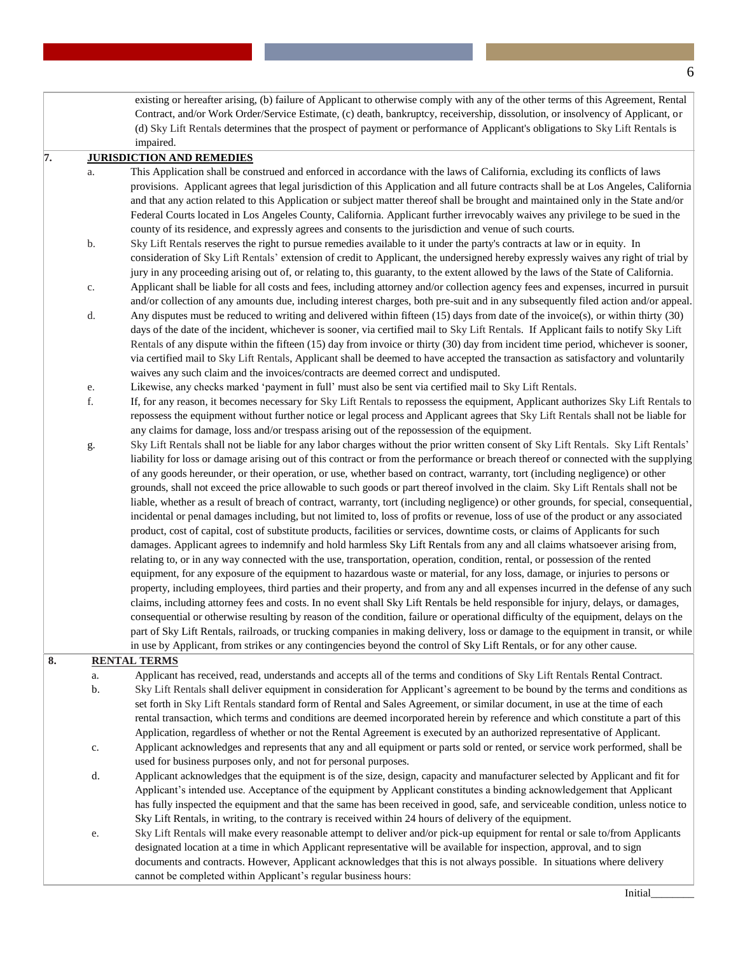existing or hereafter arising, (b) failure of Applicant to otherwise comply with any of the other terms of this Agreement, Rental Contract, and/or Work Order/Service Estimate, (c) death, bankruptcy, receivership, dissolution, or insolvency of Applicant, or (d) Sky Lift Rentals determines that the prospect of payment or performance of Applicant's obligations to Sky Lift Rentals is impaired.

#### **7. JURISDICTION AND REMEDIES**

- a. This Application shall be construed and enforced in accordance with the laws of California, excluding its conflicts of laws provisions. Applicant agrees that legal jurisdiction of this Application and all future contracts shall be at Los Angeles, California and that any action related to this Application or subject matter thereof shall be brought and maintained only in the State and/or Federal Courts located in Los Angeles County, California. Applicant further irrevocably waives any privilege to be sued in the county of its residence, and expressly agrees and consents to the jurisdiction and venue of such courts.
- b. Sky Lift Rentals reserves the right to pursue remedies available to it under the party's contracts at law or in equity. In consideration of Sky Lift Rentals' extension of credit to Applicant, the undersigned hereby expressly waives any right of trial by jury in any proceeding arising out of, or relating to, this guaranty, to the extent allowed by the laws of the State of California.
- c. Applicant shall be liable for all costs and fees, including attorney and/or collection agency fees and expenses, incurred in pursuit and/or collection of any amounts due, including interest charges, both pre-suit and in any subsequently filed action and/or appeal.
- d. Any disputes must be reduced to writing and delivered within fifteen (15) days from date of the invoice(s), or within thirty (30) days of the date of the incident, whichever is sooner, via certified mail to Sky Lift Rentals. If Applicant fails to notify Sky Lift Rentals of any dispute within the fifteen (15) day from invoice or thirty (30) day from incident time period, whichever is sooner, via certified mail to Sky Lift Rentals, Applicant shall be deemed to have accepted the transaction as satisfactory and voluntarily waives any such claim and the invoices/contracts are deemed correct and undisputed.
- e. Likewise, any checks marked 'payment in full' must also be sent via certified mail to Sky Lift Rentals.
- f. If, for any reason, it becomes necessary for Sky Lift Rentals to repossess the equipment, Applicant authorizes Sky Lift Rentals to repossess the equipment without further notice or legal process and Applicant agrees that Sky Lift Rentals shall not be liable for any claims for damage, loss and/or trespass arising out of the repossession of the equipment.
- g. Sky Lift Rentals shall not be liable for any labor charges without the prior written consent of Sky Lift Rentals. Sky Lift Rentals' liability for loss or damage arising out of this contract or from the performance or breach thereof or connected with the supplying of any goods hereunder, or their operation, or use, whether based on contract, warranty, tort (including negligence) or other grounds, shall not exceed the price allowable to such goods or part thereof involved in the claim. Sky Lift Rentals shall not be liable, whether as a result of breach of contract, warranty, tort (including negligence) or other grounds, for special, consequential, incidental or penal damages including, but not limited to, loss of profits or revenue, loss of use of the product or any associated product, cost of capital, cost of substitute products, facilities or services, downtime costs, or claims of Applicants for such damages. Applicant agrees to indemnify and hold harmless Sky Lift Rentals from any and all claims whatsoever arising from, relating to, or in any way connected with the use, transportation, operation, condition, rental, or possession of the rented equipment, for any exposure of the equipment to hazardous waste or material, for any loss, damage, or injuries to persons or property, including employees, third parties and their property, and from any and all expenses incurred in the defense of any such claims, including attorney fees and costs. In no event shall Sky Lift Rentals be held responsible for injury, delays, or damages, consequential or otherwise resulting by reason of the condition, failure or operational difficulty of the equipment, delays on the part of Sky Lift Rentals, railroads, or trucking companies in making delivery, loss or damage to the equipment in transit, or while in use by Applicant, from strikes or any contingencies beyond the control of Sky Lift Rentals, or for any other cause.

#### **8. RENTAL TERMS**

- a. Applicant has received, read, understands and accepts all of the terms and conditions of Sky Lift Rentals Rental Contract. b. Sky Lift Rentals shall deliver equipment in consideration for Applicant's agreement to be bound by the terms and conditions as set forth in Sky Lift Rentals standard form of Rental and Sales Agreement, or similar document, in use at the time of each rental transaction, which terms and conditions are deemed incorporated herein by reference and which constitute a part of this Application, regardless of whether or not the Rental Agreement is executed by an authorized representative of Applicant.
	- c. Applicant acknowledges and represents that any and all equipment or parts sold or rented, or service work performed, shall be used for business purposes only, and not for personal purposes.
	- d. Applicant acknowledges that the equipment is of the size, design, capacity and manufacturer selected by Applicant and fit for Applicant's intended use. Acceptance of the equipment by Applicant constitutes a binding acknowledgement that Applicant has fully inspected the equipment and that the same has been received in good, safe, and serviceable condition, unless notice to Sky Lift Rentals, in writing, to the contrary is received within 24 hours of delivery of the equipment.
- e. Sky Lift Rentals will make every reasonable attempt to deliver and/or pick-up equipment for rental or sale to/from Applicants designated location at a time in which Applicant representative will be available for inspection, approval, and to sign documents and contracts. However, Applicant acknowledges that this is not always possible. In situations where delivery cannot be completed within Applicant's regular business hours: